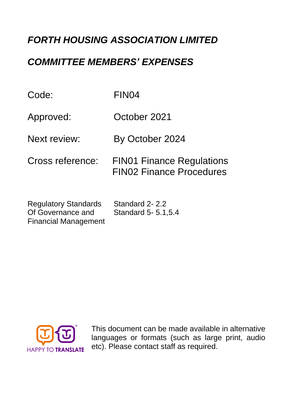# *FORTH HOUSING ASSOCIATION LIMITED*

### *COMMITTEE MEMBERS' EXPENSES*

| Code:                                            | FIN04                                                               |  |
|--------------------------------------------------|---------------------------------------------------------------------|--|
| Approved:                                        | October 2021                                                        |  |
| Next review:                                     | By October 2024                                                     |  |
| Cross reference:                                 | <b>FIN01 Finance Regulations</b><br><b>FIN02 Finance Procedures</b> |  |
| <b>Regulatory Standards</b><br>Of Governance and | Standard 2-2.2<br>Standard 5- 5.1, 5.4                              |  |



Financial Management

This document can be made available in alternative languages or formats (such as large print, audio etc). Please contact staff as required.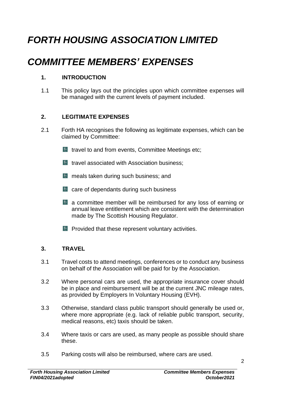# *FORTH HOUSING ASSOCIATION LIMITED*

# *COMMITTEE MEMBERS' EXPENSES*

#### **1. INTRODUCTION**

1.1 This policy lays out the principles upon which committee expenses will be managed with the current levels of payment included.

#### **2. LEGITIMATE EXPENSES**

- 2.1 Forth HA recognises the following as legitimate expenses, which can be claimed by Committee:
	- $\blacksquare$  travel to and from events, Committee Meetings etc;
	- $\blacksquare$  travel associated with Association business:
	- **E** meals taken during such business; and
	- **E** care of dependants during such business
	- a committee member will be reimbursed for any loss of earning or annual leave entitlement which are consistent with the determination made by The Scottish Housing Regulator.
	- **Provided that these represent voluntary activities.**

#### **3. TRAVEL**

- 3.1 Travel costs to attend meetings, conferences or to conduct any business on behalf of the Association will be paid for by the Association.
- 3.2 Where personal cars are used, the appropriate insurance cover should be in place and reimbursement will be at the current JNC mileage rates, as provided by Employers In Voluntary Housing (EVH).
- 3.3 Otherwise, standard class public transport should generally be used or, where more appropriate (e.g. lack of reliable public transport, security, medical reasons, etc) taxis should be taken.
- 3.4 Where taxis or cars are used, as many people as possible should share these.
- 3.5 Parking costs will also be reimbursed, where cars are used.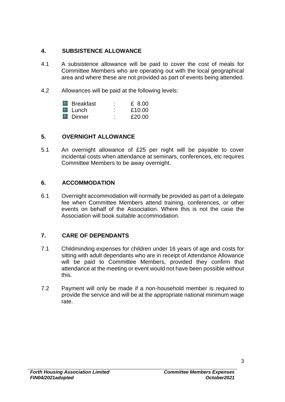#### **4. SUBSISTENCE ALLOWANCE**

- 4.1 A subsistence allowance will be paid to cover the cost of meals for Committee Members who are operating out with the local geographical area and where these are not provided as part of events being attended.
- 4.2 Allowances will be paid at the following levels:

| <b>Breakfast</b>      | ٠<br>٠ | £ 8.00 |
|-----------------------|--------|--------|
| l <sup>f⊾</sup> Lunch | ٠      | £10.00 |
| <b>Inner</b>          | ٠<br>٠ | £20.00 |

#### **5. OVERNIGHT ALLOWANCE**

5.1 An overnight allowance of £25 per night will be payable to cover incidental costs when attendance at seminars, conferences, etc requires Committee Members to be away overnight.

#### **6. ACCOMMODATION**

6.1 Overnight accommodation will normally be provided as part of a delegate fee when Committee Members attend training, conferences, or other events on behalf of the Association. Where this is not the case the Association will book suitable accommodation.

#### **7. CARE OF DEPENDANTS**

- 7.1 Childminding expenses for children under 16 years of age and costs for sitting with adult dependants who are in receipt of Attendance Allowance will be paid to Committee Members, provided they confirm that attendance at the meeting or event would not have been possible without this.
- 7.2 Payment will only be made if a non-household member is required to provide the service and will be at the appropriate national minimum wage rate.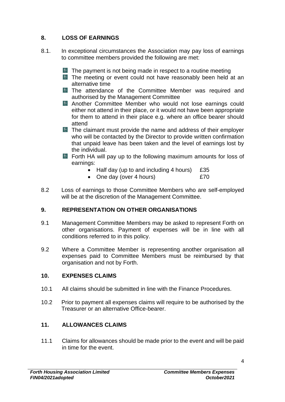#### **8. LOSS OF EARNINGS**

- 8.1. In exceptional circumstances the Association may pay loss of earnings to committee members provided the following are met:
	- $\blacksquare$  The payment is not being made in respect to a routine meeting
	- **The meeting or event could not have reasonably been held at an** alternative time
	- **Extra The attendance of the Committee Member was required and** authorised by the Management Committee
	- Another Committee Member who would not lose earnings could either not attend in their place, or it would not have been appropriate for them to attend in their place e.g. where an office bearer should attend
	- **EXTE Claimant must provide the name and address of their employer** who will be contacted by the Director to provide written confirmation that unpaid leave has been taken and the level of earnings lost by the individual.
	- **Forth HA will pay up to the following maximum amounts for loss of** earnings:
		- Half day (up to and including 4 hours)  $£35$
		- One day (over 4 hours) **ETO**
- 8.2 Loss of earnings to those Committee Members who are self-employed will be at the discretion of the Management Committee.

#### **9. REPRESENTATION ON OTHER ORGANISATIONS**

- 9.1 Management Committee Members may be asked to represent Forth on other organisations. Payment of expenses will be in line with all conditions referred to in this policy.
- 9.2 Where a Committee Member is representing another organisation all expenses paid to Committee Members must be reimbursed by that organisation and not by Forth.

#### **10. EXPENSES CLAIMS**

- 10.1 All claims should be submitted in line with the Finance Procedures.
- 10.2 Prior to payment all expenses claims will require to be authorised by the Treasurer or an alternative Office-bearer.

#### **11. ALLOWANCES CLAIMS**

11.1 Claims for allowances should be made prior to the event and will be paid in time for the event.